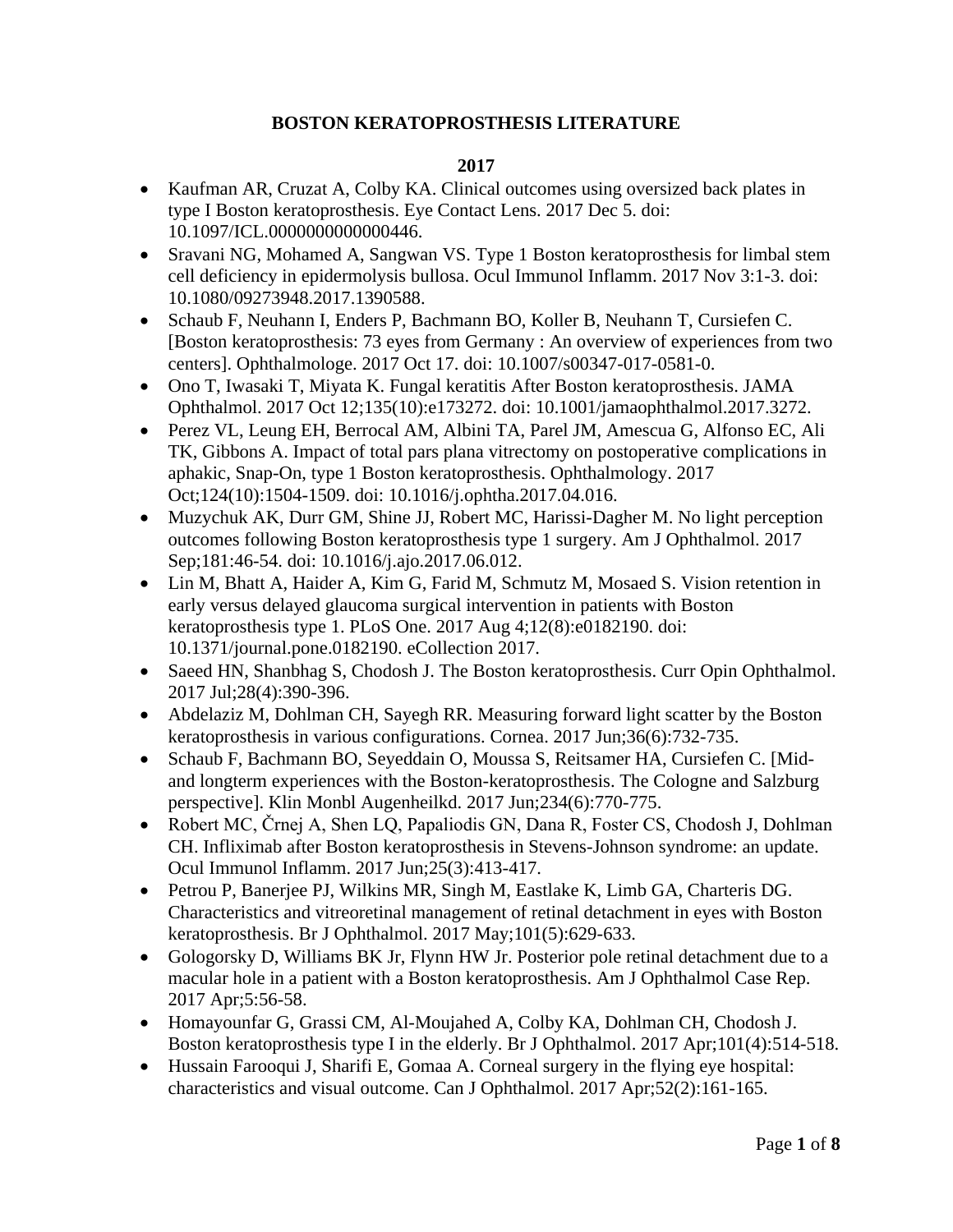# **BOSTON KERATOPROSTHESIS LITERATURE**

- Kaufman AR, Cruzat A, Colby KA. Clinical outcomes using oversized back plates in type I Boston keratoprosthesis. Eye Contact Lens. 2017 Dec 5. doi: 10.1097/ICL.0000000000000446.
- Sravani NG, Mohamed A, Sangwan VS. Type 1 Boston keratoprosthesis for limbal stem cell deficiency in epidermolysis bullosa. Ocul Immunol Inflamm. 2017 Nov 3:1-3. doi: 10.1080/09273948.2017.1390588.
- Schaub F, Neuhann I, Enders P, Bachmann BO, Koller B, Neuhann T, Cursiefen C. [Boston keratoprosthesis: 73 eyes from Germany : An overview of experiences from two centers]. Ophthalmologe. 2017 Oct 17. doi: 10.1007/s00347-017-0581-0.
- Ono T, Iwasaki T, Miyata K. Fungal keratitis After Boston keratoprosthesis. JAMA Ophthalmol. 2017 Oct 12;135(10):e173272. doi: 10.1001/jamaophthalmol.2017.3272.
- Perez VL, Leung EH, Berrocal AM, Albini TA, Parel JM, Amescua G, Alfonso EC, Ali TK, Gibbons A. Impact of total pars plana vitrectomy on postoperative complications in aphakic, Snap-On, type 1 Boston keratoprosthesis. Ophthalmology. 2017 Oct;124(10):1504-1509. doi: 10.1016/j.ophtha.2017.04.016.
- Muzychuk AK, Durr GM, Shine JJ, Robert MC, Harissi-Dagher M. No light perception outcomes following Boston keratoprosthesis type 1 surgery. Am J Ophthalmol. 2017 Sep;181:46-54. doi: 10.1016/j.ajo.2017.06.012.
- Lin M, Bhatt A, Haider A, Kim G, Farid M, Schmutz M, Mosaed S. Vision retention in early versus delayed glaucoma surgical intervention in patients with Boston keratoprosthesis type 1. PLoS One. 2017 Aug 4;12(8):e0182190. doi: 10.1371/journal.pone.0182190. eCollection 2017.
- Saeed HN, Shanbhag S, Chodosh J. The Boston keratoprosthesis. Curr Opin Ophthalmol. 2017 Jul;28(4):390-396.
- Abdelaziz M, Dohlman CH, Sayegh RR. Measuring forward light scatter by the Boston keratoprosthesis in various configurations. Cornea. 2017 Jun;36(6):732-735.
- Schaub F, Bachmann BO, Seyeddain O, Moussa S, Reitsamer HA, Cursiefen C. [Midand longterm experiences with the Boston-keratoprosthesis. The Cologne and Salzburg perspective]. Klin Monbl Augenheilkd. 2017 Jun;234(6):770-775.
- Robert MC, Črnej A, Shen LQ, Papaliodis GN, Dana R, Foster CS, Chodosh J, Dohlman CH. Infliximab after Boston keratoprosthesis in Stevens-Johnson syndrome: an update. Ocul Immunol Inflamm. 2017 Jun;25(3):413-417.
- Petrou P, Banerjee PJ, Wilkins MR, Singh M, Eastlake K, Limb GA, Charteris DG. Characteristics and vitreoretinal management of retinal detachment in eyes with Boston keratoprosthesis. Br J Ophthalmol. 2017 May;101(5):629-633.
- Gologorsky D, Williams BK Jr, Flynn HW Jr. Posterior pole retinal detachment due to a macular hole in a patient with a Boston keratoprosthesis. Am J Ophthalmol Case Rep. 2017 Apr;5:56-58.
- Homayounfar G, Grassi CM, Al-Moujahed A, Colby KA, Dohlman CH, Chodosh J. Boston keratoprosthesis type I in the elderly. Br J Ophthalmol. 2017 Apr;101(4):514-518.
- Hussain Farooqui J, Sharifi E, Gomaa A. Corneal surgery in the flying eye hospital: characteristics and visual outcome. Can J Ophthalmol. 2017 Apr;52(2):161-165.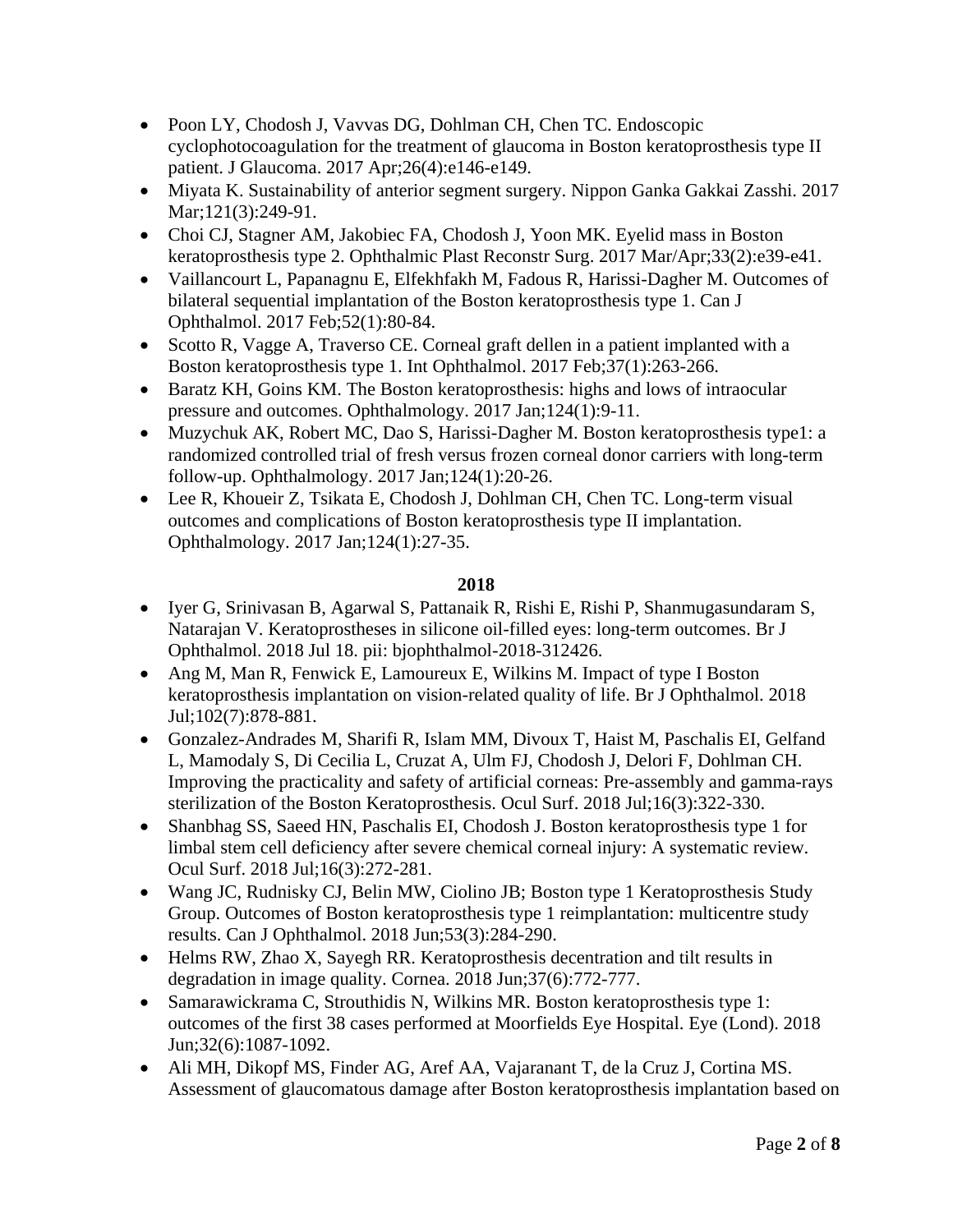- Poon LY, Chodosh J, Vavvas DG, Dohlman CH, Chen TC. Endoscopic cyclophotocoagulation for the treatment of glaucoma in Boston keratoprosthesis type II patient. J Glaucoma. 2017 Apr;26(4):e146-e149.
- Miyata K. Sustainability of anterior segment surgery. Nippon Ganka Gakkai Zasshi. 2017 Mar;121(3):249-91.
- Choi CJ, Stagner AM, Jakobiec FA, Chodosh J, Yoon MK. Eyelid mass in Boston keratoprosthesis type 2. Ophthalmic Plast Reconstr Surg. 2017 Mar/Apr;33(2):e39-e41.
- Vaillancourt L, Papanagnu E, Elfekhfakh M, Fadous R, Harissi-Dagher M. Outcomes of bilateral sequential implantation of the Boston keratoprosthesis type 1. Can J Ophthalmol. 2017 Feb;52(1):80-84.
- Scotto R, Vagge A, Traverso CE. Corneal graft dellen in a patient implanted with a Boston keratoprosthesis type 1. Int Ophthalmol. 2017 Feb;37(1):263-266.
- Baratz KH, Goins KM. The Boston keratoprosthesis: highs and lows of intraocular pressure and outcomes. Ophthalmology. 2017 Jan;124(1):9-11.
- Muzychuk AK, Robert MC, Dao S, Harissi-Dagher M. Boston keratoprosthesis type1: a randomized controlled trial of fresh versus frozen corneal donor carriers with long-term follow-up. Ophthalmology. 2017 Jan;124(1):20-26.
- Lee R, Khoueir Z, Tsikata E, Chodosh J, Dohlman CH, Chen TC. Long-term visual outcomes and complications of Boston keratoprosthesis type II implantation. Ophthalmology. 2017 Jan;124(1):27-35.

- Iyer G, Srinivasan B, Agarwal S, Pattanaik R, Rishi E, Rishi P, Shanmugasundaram S, Natarajan V. Keratoprostheses in silicone oil-filled eyes: long-term outcomes. Br J Ophthalmol. 2018 Jul 18. pii: bjophthalmol-2018-312426.
- Ang M, Man R, Fenwick E, Lamoureux E, Wilkins M. Impact of type I Boston keratoprosthesis implantation on vision-related quality of life. Br J Ophthalmol. 2018 Jul;102(7):878-881.
- Gonzalez-Andrades M, Sharifi R, Islam MM, Divoux T, Haist M, Paschalis EI, Gelfand L, Mamodaly S, Di Cecilia L, Cruzat A, Ulm FJ, Chodosh J, Delori F, Dohlman CH. Improving the practicality and safety of artificial corneas: Pre-assembly and gamma-rays sterilization of the Boston Keratoprosthesis. Ocul Surf. 2018 Jul;16(3):322-330.
- Shanbhag SS, Saeed HN, Paschalis EI, Chodosh J. Boston keratoprosthesis type 1 for limbal stem cell deficiency after severe chemical corneal injury: A systematic review. Ocul Surf. 2018 Jul;16(3):272-281.
- Wang JC, Rudnisky CJ, Belin MW, Ciolino JB; Boston type 1 Keratoprosthesis Study Group. Outcomes of Boston keratoprosthesis type 1 reimplantation: multicentre study results. Can J Ophthalmol. 2018 Jun;53(3):284-290.
- Helms RW, Zhao X, Sayegh RR. Keratoprosthesis decentration and tilt results in degradation in image quality. Cornea. 2018 Jun;37(6):772-777.
- Samarawickrama C, Strouthidis N, Wilkins MR. Boston keratoprosthesis type 1: outcomes of the first 38 cases performed at Moorfields Eye Hospital. Eye (Lond). 2018 Jun;32(6):1087-1092.
- Ali MH, Dikopf MS, Finder AG, Aref AA, Vajaranant T, de la Cruz J, Cortina MS. Assessment of glaucomatous damage after Boston keratoprosthesis implantation based on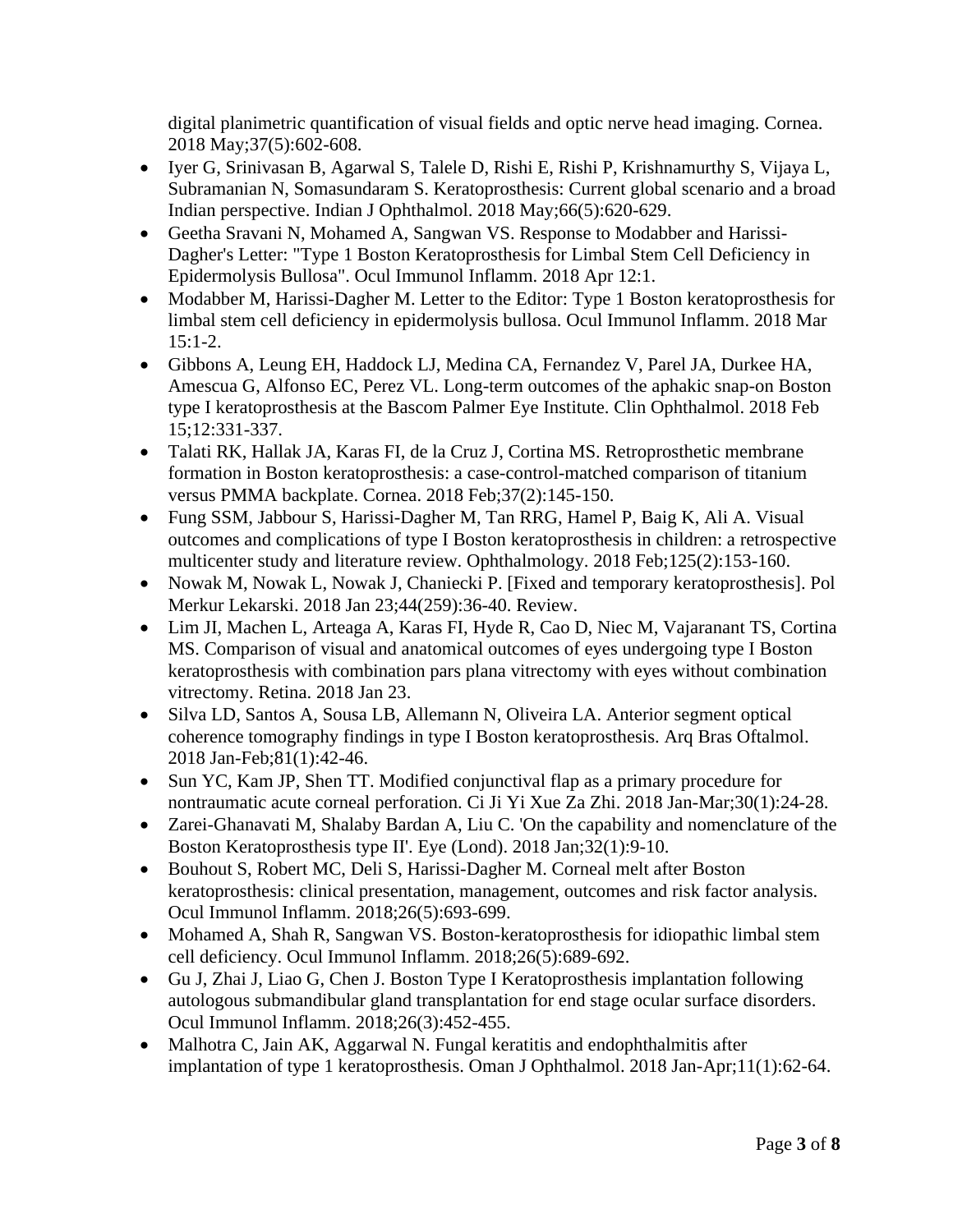digital planimetric quantification of visual fields and optic nerve head imaging. Cornea. 2018 May;37(5):602-608.

- Iyer G, Srinivasan B, Agarwal S, Talele D, Rishi E, Rishi P, Krishnamurthy S, Vijaya L, Subramanian N, Somasundaram S. Keratoprosthesis: Current global scenario and a broad Indian perspective. Indian J Ophthalmol. 2018 May;66(5):620-629.
- Geetha Sravani N, Mohamed A, Sangwan VS. Response to Modabber and Harissi-Dagher's Letter: "Type 1 Boston Keratoprosthesis for Limbal Stem Cell Deficiency in Epidermolysis Bullosa". Ocul Immunol Inflamm. 2018 Apr 12:1.
- Modabber M, Harissi-Dagher M. Letter to the Editor: Type 1 Boston keratoprosthesis for limbal stem cell deficiency in epidermolysis bullosa. Ocul Immunol Inflamm. 2018 Mar 15:1-2.
- Gibbons A, Leung EH, Haddock LJ, Medina CA, Fernandez V, Parel JA, Durkee HA, Amescua G, Alfonso EC, Perez VL. Long-term outcomes of the aphakic snap-on Boston type I keratoprosthesis at the Bascom Palmer Eye Institute. Clin Ophthalmol. 2018 Feb 15;12:331-337.
- Talati RK, Hallak JA, Karas FI, de la Cruz J, Cortina MS. Retroprosthetic membrane formation in Boston keratoprosthesis: a case-control-matched comparison of titanium versus PMMA backplate. Cornea. 2018 Feb;37(2):145-150.
- Fung SSM, Jabbour S, Harissi-Dagher M, Tan RRG, Hamel P, Baig K, Ali A. Visual outcomes and complications of type I Boston keratoprosthesis in children: a retrospective multicenter study and literature review. Ophthalmology. 2018 Feb;125(2):153-160.
- Nowak M, Nowak L, Nowak J, Chaniecki P. [Fixed and temporary keratoprosthesis]. Pol Merkur Lekarski. 2018 Jan 23;44(259):36-40. Review.
- Lim JI, Machen L, Arteaga A, Karas FI, Hyde R, Cao D, Niec M, Vajaranant TS, Cortina MS. Comparison of visual and anatomical outcomes of eyes undergoing type I Boston keratoprosthesis with combination pars plana vitrectomy with eyes without combination vitrectomy. Retina. 2018 Jan 23.
- Silva LD, Santos A, Sousa LB, Allemann N, Oliveira LA. Anterior segment optical coherence tomography findings in type I Boston keratoprosthesis. Arq Bras Oftalmol. 2018 Jan-Feb;81(1):42-46.
- Sun YC, Kam JP, Shen TT. Modified conjunctival flap as a primary procedure for nontraumatic acute corneal perforation. Ci Ji Yi Xue Za Zhi. 2018 Jan-Mar;30(1):24-28.
- Zarei-Ghanavati M, Shalaby Bardan A, Liu C. 'On the capability and nomenclature of the Boston Keratoprosthesis type II'. Eye (Lond). 2018 Jan;32(1):9-10.
- Bouhout S, Robert MC, Deli S, Harissi-Dagher M. Corneal melt after Boston keratoprosthesis: clinical presentation, management, outcomes and risk factor analysis. Ocul Immunol Inflamm. 2018;26(5):693-699.
- Mohamed A, Shah R, Sangwan VS. Boston-keratoprosthesis for idiopathic limbal stem cell deficiency. Ocul Immunol Inflamm. 2018;26(5):689-692.
- Gu J, Zhai J, Liao G, Chen J. Boston Type I Keratoprosthesis implantation following autologous submandibular gland transplantation for end stage ocular surface disorders. Ocul Immunol Inflamm. 2018;26(3):452-455.
- Malhotra C, Jain AK, Aggarwal N. Fungal keratitis and endophthalmitis after implantation of type 1 keratoprosthesis. Oman J Ophthalmol. 2018 Jan-Apr;11(1):62-64.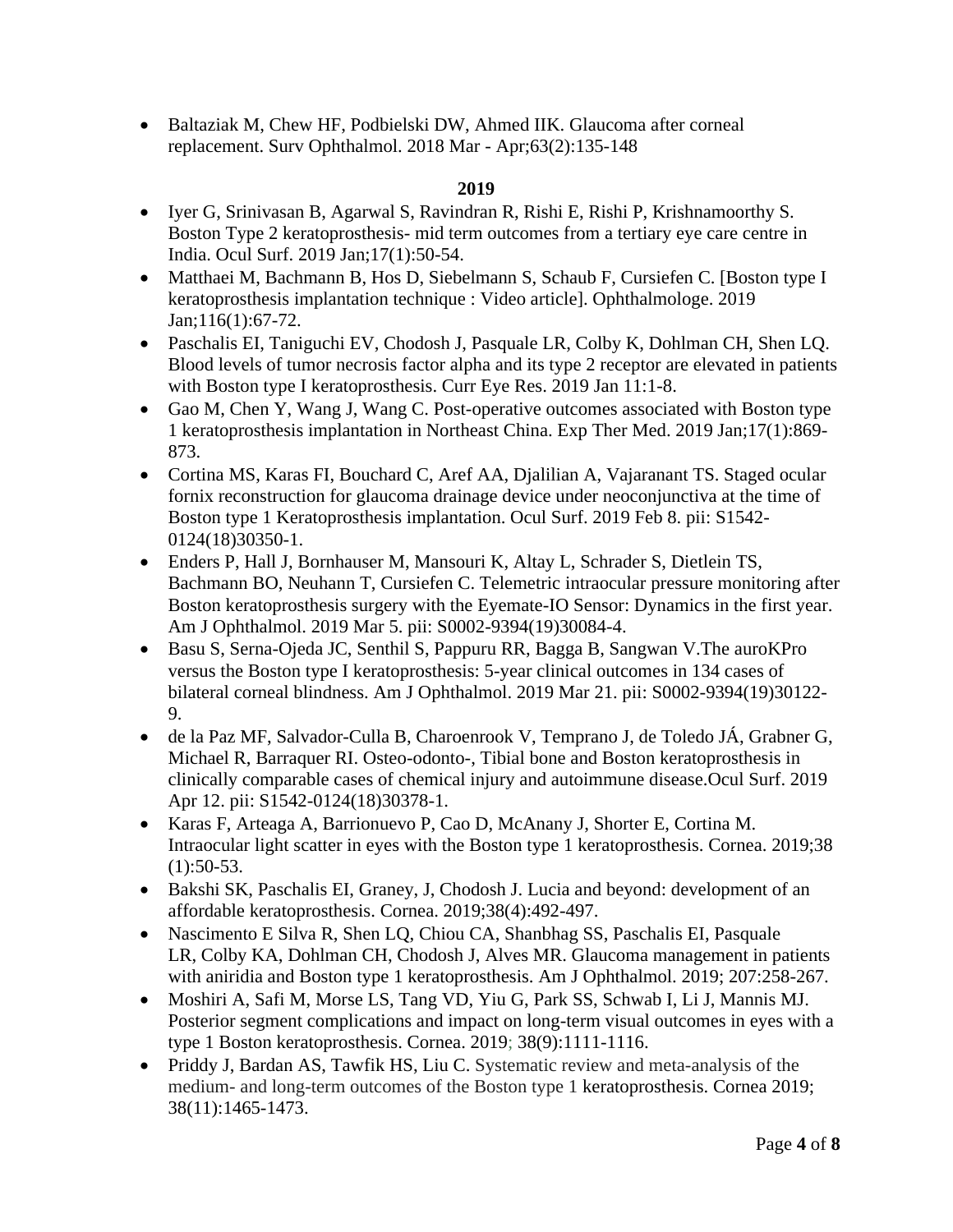• Baltaziak M, Chew HF, Podbielski DW, Ahmed IIK. Glaucoma after corneal replacement. Surv Ophthalmol. 2018 Mar - Apr;63(2):135-148

- Iyer G, Srinivasan B, Agarwal S, Ravindran R, Rishi E, Rishi P, Krishnamoorthy S. Boston Type 2 keratoprosthesis- mid term outcomes from a tertiary eye care centre in India. Ocul Surf. 2019 Jan;17(1):50-54.
- Matthaei M, Bachmann B, Hos D, Siebelmann S, Schaub F, Cursiefen C. [Boston type I keratoprosthesis implantation technique : Video article]. Ophthalmologe. 2019 Jan;116(1):67-72.
- Paschalis EI, Taniguchi EV, Chodosh J, Pasquale LR, Colby K, Dohlman CH, Shen LQ. Blood levels of tumor necrosis factor alpha and its type 2 receptor are elevated in patients with Boston type I keratoprosthesis. Curr Eye Res. 2019 Jan 11:1-8.
- Gao M, Chen Y, Wang J, Wang C. Post-operative outcomes associated with Boston type 1 keratoprosthesis implantation in Northeast China. Exp Ther Med. 2019 Jan;17(1):869- 873.
- Cortina MS, Karas FI, Bouchard C, Aref AA, Djalilian A, Vajaranant TS. Staged ocular fornix reconstruction for glaucoma drainage device under neoconjunctiva at the time of Boston type 1 Keratoprosthesis implantation. Ocul Surf. 2019 Feb 8. pii: S1542- 0124(18)30350-1.
- Enders P, Hall J, Bornhauser M, Mansouri K, Altay L, Schrader S, Dietlein TS, Bachmann BO, Neuhann T, Cursiefen C. Telemetric intraocular pressure monitoring after Boston keratoprosthesis surgery with the Eyemate-IO Sensor: Dynamics in the first year. Am J Ophthalmol. 2019 Mar 5. pii: S0002-9394(19)30084-4.
- Basu S, Serna-Ojeda JC, Senthil S, Pappuru RR, Bagga B, Sangwan V.The auroKPro versus the Boston type I keratoprosthesis: 5-year clinical outcomes in 134 cases of bilateral corneal blindness. Am J Ophthalmol. 2019 Mar 21. pii: S0002-9394(19)30122- 9.
- de la Paz MF, Salvador-Culla B, Charoenrook V, Temprano J, de Toledo JÁ, Grabner G, Michael R, Barraquer RI. Osteo-odonto-, Tibial bone and Boston keratoprosthesis in clinically comparable cases of chemical injury and autoimmune disease.Ocul Surf. 2019 Apr 12. pii: S1542-0124(18)30378-1.
- Karas F, Arteaga A, Barrionuevo P, Cao D, McAnany J, Shorter E, Cortina M. Intraocular light scatter in eyes with the Boston type 1 keratoprosthesis. Cornea. 2019;38  $(1):50-53.$
- [Bakshi](https://pubmed.ncbi.nlm.nih.gov/?term=Bakshi+SK&cauthor_id=30681517) SK, [Paschalis](https://pubmed.ncbi.nlm.nih.gov/?term=Paschalis+EI&cauthor_id=30681517) EI, Graney, J, Chodosh J. Lucia and beyond: development of an affordable keratoprosthesis. Cornea. 2019;38(4):492-497.
- [Nascimento E Silva](https://pubmed.ncbi.nlm.nih.gov/?term=Nascimento+E+Silva+R&cauthor_id=31247168) R, [Shen](https://pubmed.ncbi.nlm.nih.gov/?term=Shen+LQ&cauthor_id=31247168) LQ, [Chiou](https://pubmed.ncbi.nlm.nih.gov/?term=Chiou+CA&cauthor_id=31247168) CA, Shanbhag SS, Paschalis EI, Pasquale LR, Colby KA, Dohlman CH, Chodosh J, Alves MR. Glaucoma management in patients with aniridia and Boston type 1 keratoprosthesis. Am J Ophthalmol. 2019; 207:258-267.
- [Moshiri](https://pubmed.ncbi.nlm.nih.gov/?term=Moshiri+A&cauthor_id=31232746) A, [Safi](https://pubmed.ncbi.nlm.nih.gov/?term=Safi+M&cauthor_id=31232746) M, [Morse](https://pubmed.ncbi.nlm.nih.gov/?term=Morse+LS&cauthor_id=31232746) LS, [Tang](https://pubmed.ncbi.nlm.nih.gov/?term=Tang+VD&cauthor_id=31232746) VD, [Yiu](https://pubmed.ncbi.nlm.nih.gov/?term=Yiu+G&cauthor_id=31232746) G, [Park](https://pubmed.ncbi.nlm.nih.gov/?term=Park+SS&cauthor_id=31232746) SS, [Schwab](https://pubmed.ncbi.nlm.nih.gov/?term=Schwab+I&cauthor_id=31232746) I, [Li](https://pubmed.ncbi.nlm.nih.gov/?term=Li+J&cauthor_id=31232746) J, [Mannis](https://pubmed.ncbi.nlm.nih.gov/?term=Mannis+MJ&cauthor_id=31232746) MJ. Posterior segment complications and impact on long-term visual outcomes in eyes with a type 1 Boston keratoprosthesis. Cornea. 2019; 38(9):1111-1116.
- [Priddy](https://pubmed.ncbi.nlm.nih.gov/?term=Priddy+J&cauthor_id=31403526) J, Bardan AS, [Tawfik](https://pubmed.ncbi.nlm.nih.gov/?term=Tawfik+HS&cauthor_id=31403526) HS, Liu C. Systematic review and meta-analysis of the medium- and long-term outcomes of the Boston type 1 keratoprosthesis. Cornea 2019; 38(11):1465-1473.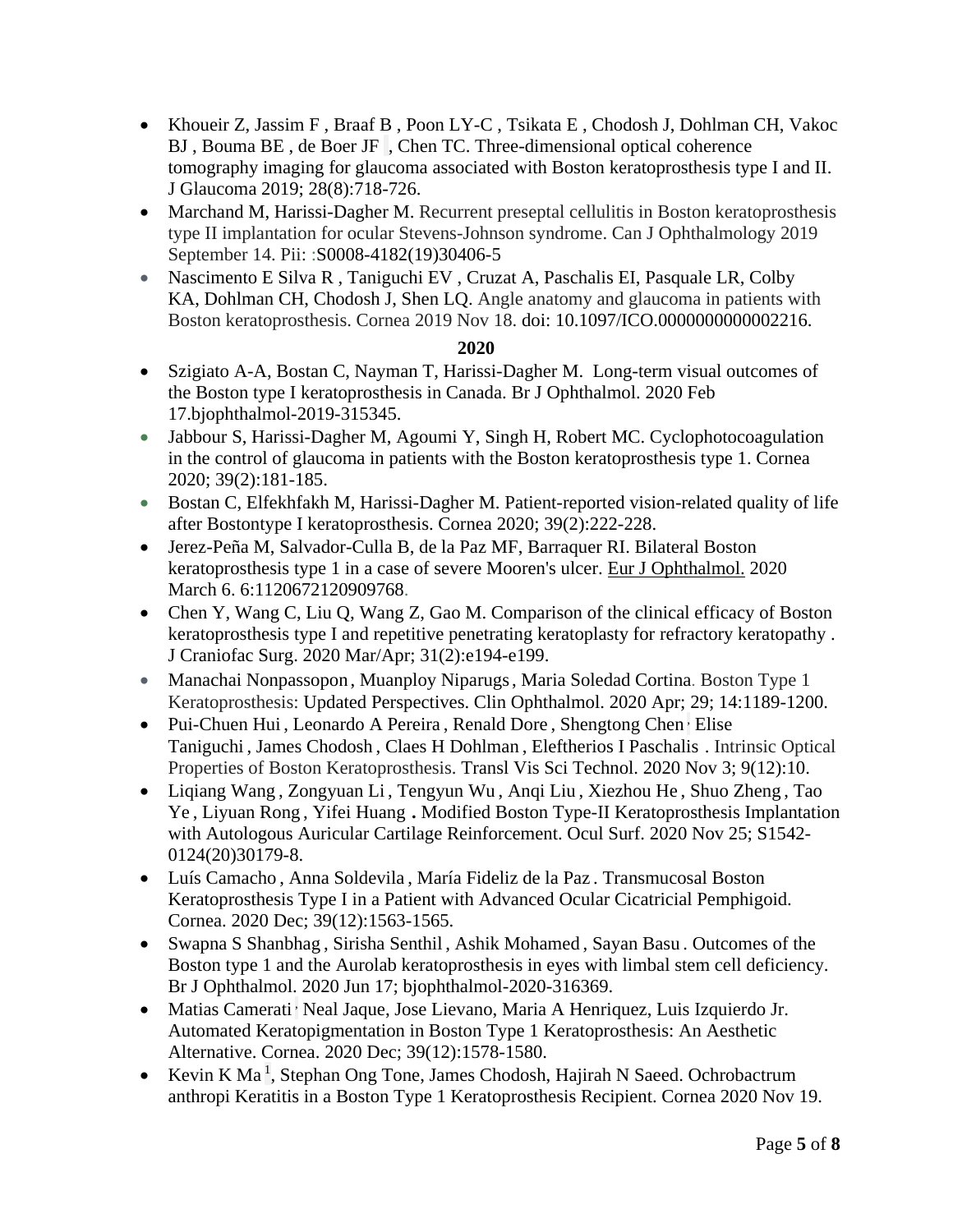- [Khoueir](https://pubmed.ncbi.nlm.nih.gov/?term=Khoueir+Z&cauthor_id=31169563) Z, [Jassim](https://pubmed.ncbi.nlm.nih.gov/?term=Jassim+F&cauthor_id=31169563) F , [Braaf](https://pubmed.ncbi.nlm.nih.gov/?term=Braaf+B&cauthor_id=31169563) B , [Poon](https://pubmed.ncbi.nlm.nih.gov/?term=Poon+LY&cauthor_id=31169563) LY-C , [Tsikata](https://pubmed.ncbi.nlm.nih.gov/?term=Tsikata+E&cauthor_id=31169563) E , [Chodosh](https://pubmed.ncbi.nlm.nih.gov/?term=Chodosh+J&cauthor_id=31169563) J, [Dohlman](https://pubmed.ncbi.nlm.nih.gov/?term=Dohlman+CH&cauthor_id=31169563) CH, [Vakoc](https://pubmed.ncbi.nlm.nih.gov/?term=Vakoc+BJ&cauthor_id=31169563) BJ , [Bouma](https://pubmed.ncbi.nlm.nih.gov/?term=Bouma+BE&cauthor_id=31169563) BE , [de Boer](https://pubmed.ncbi.nlm.nih.gov/?term=de+Boer+JF&cauthor_id=31169563) JF , [Chen](https://pubmed.ncbi.nlm.nih.gov/?term=Chen+TC&cauthor_id=31169563) TC. Three-dimensional optical coherence tomography imaging for glaucoma associated with Boston keratoprosthesis type I and II. J Glaucoma 2019; 28(8):718-726.
- Marchand M, Harissi-Dagher M. Recurrent preseptal cellulitis in Boston keratoprosthesis type II implantation for ocular Stevens-Johnson syndrome. Can J Ophthalmology 2019 September 14. Pii: :S0008-4182(19)30406-5
- [Nascimento E Silva](https://pubmed.ncbi.nlm.nih.gov/?term=Nascimento+E+Silva+R&cauthor_id=31764284) R, [Taniguchi](https://pubmed.ncbi.nlm.nih.gov/?term=Taniguchi+EV&cauthor_id=31764284) EV, [Cruzat](https://pubmed.ncbi.nlm.nih.gov/?term=Cruzat+A&cauthor_id=31764284) A, [Paschalis](https://pubmed.ncbi.nlm.nih.gov/?term=Paschalis+EI&cauthor_id=31764284) EI, [Pasquale](https://pubmed.ncbi.nlm.nih.gov/?term=Pasquale+LR&cauthor_id=31764284) LR, [Colby](https://pubmed.ncbi.nlm.nih.gov/?term=Colby+KA&cauthor_id=31764284) KA, [Dohlman](https://pubmed.ncbi.nlm.nih.gov/?term=Dohlman+CH&cauthor_id=31764284) CH, [Chodosh](https://pubmed.ncbi.nlm.nih.gov/?term=Chodosh+J&cauthor_id=31764284) J, [Shen](https://pubmed.ncbi.nlm.nih.gov/?term=Shen+LQ&cauthor_id=31764284) LQ. Angle anatomy and glaucoma in patients with Boston keratoprosthesis. Cornea 2019 Nov 18. doi: 10.1097/ICO.0000000000002216.

- Szigiato A-A, Bostan C, Nayman T, Harissi-Dagher M. Long-term visual outcomes of the Boston type I keratoprosthesis in Canada. [Br J Ophthalmol.](https://www.ncbi.nlm.nih.gov/pubmed/32066560) 2020 Feb 17.bjophthalmol-2019-315345.
- [Jabbour](https://pubmed.ncbi.nlm.nih.gov/?term=Jabbour+S&cauthor_id=31335536) S, [Harissi-Dagher](https://pubmed.ncbi.nlm.nih.gov/?term=Harissi-Dagher+M&cauthor_id=31335536) M, [Agoumi](https://pubmed.ncbi.nlm.nih.gov/?term=Agoumi+Y&cauthor_id=31335536) Y, [Singh](https://pubmed.ncbi.nlm.nih.gov/?term=Singh+H&cauthor_id=31335536) H, [Robert](https://pubmed.ncbi.nlm.nih.gov/?term=Robert+MC&cauthor_id=31335536) MC. Cyclophotocoagulation in the control of glaucoma in patients with the Boston keratoprosthesis type 1. Cornea 2020; 39(2):181-185.
- [Bostan](https://pubmed.ncbi.nlm.nih.gov/?term=Bostan+C&cauthor_id=31490275) C, [Elfekhfakh](https://pubmed.ncbi.nlm.nih.gov/?term=Elfekhfakh+M&cauthor_id=31490275) M, [Harissi-Dagher](https://pubmed.ncbi.nlm.nih.gov/?term=Harissi-Dagher+M&cauthor_id=31490275) M. Patient-reported vision-related quality of life after Bostontype I keratoprosthesis. Cornea 2020; 39(2):222-228.
- Jerez-Peña M, Salvador-Culla B, de la Paz MF, Barraquer RI. Bilateral Boston keratoprosthesis type 1 in a case of severe Mooren's ulcer. [Eur J Ophthalmol.](https://www.ncbi.nlm.nih.gov/pubmed/32141311) 2020 March 6. 6:1120672120909768.
- [Chen](https://pubmed.ncbi.nlm.nih.gov/?term=Chen+Y&cauthor_id=31977683) Y, [Wang](https://pubmed.ncbi.nlm.nih.gov/?term=Wang+Z&cauthor_id=31977683) C, [Liu](https://pubmed.ncbi.nlm.nih.gov/?term=Liu+Q&cauthor_id=31977683) Q, Wang Z, [Gao](https://pubmed.ncbi.nlm.nih.gov/?term=Gao+M&cauthor_id=31977683) M. Comparison of the clinical efficacy of Boston keratoprosthesis type I and repetitive penetrating keratoplasty for refractory keratopathy . J Craniofac Surg. 2020 Mar/Apr; 31(2):e194-e199.
- [Manachai Nonpassopon](https://pubmed.ncbi.nlm.nih.gov/?term=Nonpassopon+M&cauthor_id=32425503) , [Muanploy Niparugs,](https://pubmed.ncbi.nlm.nih.gov/?term=Niparugs+M&cauthor_id=32425503) Maria Soledad Cortina. Boston Type 1 Keratoprosthesis: Updated Perspectives. Clin Ophthalmol. 2020 Apr; 29; 14:1189-1200.
- [Pui-Chuen Hui](https://pubmed.ncbi.nlm.nih.gov/?term=Hui+PC&cauthor_id=33200051), [Leonardo A Pereira](https://pubmed.ncbi.nlm.nih.gov/?term=Pereira+LA&cauthor_id=33200051), [Renald Dore](https://pubmed.ncbi.nlm.nih.gov/?term=Dore+R&cauthor_id=33200051), [Shengtong Chen](https://pubmed.ncbi.nlm.nih.gov/?term=Chen+S&cauthor_id=33200051) Elise [Taniguchi](https://pubmed.ncbi.nlm.nih.gov/?term=Taniguchi+E&cauthor_id=33200051) , [James Chodosh](https://pubmed.ncbi.nlm.nih.gov/?term=Chodosh+J&cauthor_id=33200051) , [Claes H Dohlman](https://pubmed.ncbi.nlm.nih.gov/?term=Dohlman+CH&cauthor_id=33200051) , [Eleftherios I Paschalis](https://pubmed.ncbi.nlm.nih.gov/?term=Paschalis+EI&cauthor_id=33200051) . Intrinsic Optical Properties of Boston Keratoprosthesis. Transl Vis Sci Technol. 2020 Nov 3; 9(12):10.
- [Liqiang Wang](https://pubmed.ncbi.nlm.nih.gov/?term=Wang+L&cauthor_id=33248213) , [Zongyuan Li](https://pubmed.ncbi.nlm.nih.gov/?term=Li+Z&cauthor_id=33248213) , [Tengyun Wu](https://pubmed.ncbi.nlm.nih.gov/?term=Wu+T&cauthor_id=33248213) , [Anqi Liu](https://pubmed.ncbi.nlm.nih.gov/?term=Liu+A&cauthor_id=33248213) , [Xiezhou He](https://pubmed.ncbi.nlm.nih.gov/?term=He+X&cauthor_id=33248213) , [Shuo Zheng](https://pubmed.ncbi.nlm.nih.gov/?term=Zheng+S&cauthor_id=33248213) , [Tao](https://pubmed.ncbi.nlm.nih.gov/?term=Ye+T&cauthor_id=33248213)  [Ye](https://pubmed.ncbi.nlm.nih.gov/?term=Ye+T&cauthor_id=33248213) , [Liyuan Rong](https://pubmed.ncbi.nlm.nih.gov/?term=Rong+L&cauthor_id=33248213) , [Yifei Huang](https://pubmed.ncbi.nlm.nih.gov/?term=Huang+Y&cauthor_id=33248213) **.** Modified Boston Type-II Keratoprosthesis Implantation with Autologous Auricular Cartilage Reinforcement. Ocul Surf. 2020 Nov 25; S1542- 0124(20)30179-8.
- [Luís Camacho](https://pubmed.ncbi.nlm.nih.gov/?term=Camacho+L&cauthor_id=32881715) , [Anna Soldevila](https://pubmed.ncbi.nlm.nih.gov/?term=Soldevila+A&cauthor_id=32881715) , [María Fideliz de la Paz](https://pubmed.ncbi.nlm.nih.gov/?term=Fideliz+de+la+Paz+M&cauthor_id=32881715) . Transmucosal Boston Keratoprosthesis Type I in a Patient with Advanced Ocular Cicatricial Pemphigoid. Cornea. 2020 Dec; 39(12):1563-1565.
- [Swapna S Shanbhag](https://pubmed.ncbi.nlm.nih.gov/?term=Shanbhag+SS&cauthor_id=32554443) , [Sirisha Senthil](https://pubmed.ncbi.nlm.nih.gov/?term=Senthil+S&cauthor_id=32554443) , [Ashik Mohamed](https://pubmed.ncbi.nlm.nih.gov/?term=Mohamed+A&cauthor_id=32554443) , [Sayan Basu](https://pubmed.ncbi.nlm.nih.gov/?term=Basu+S&cauthor_id=32554443) . Outcomes of the Boston type 1 and the Aurolab keratoprosthesis in eyes with limbal stem cell deficiency. Br J Ophthalmol. 2020 Jun 17; bjophthalmol-2020-316369.
- [Matias Camerati](https://pubmed.ncbi.nlm.nih.gov/?term=Camerati+M&cauthor_id=33170589)<sup>,</sup> [Neal Jaque,](https://pubmed.ncbi.nlm.nih.gov/?term=Jaque+N&cauthor_id=33170589) [Jose Lievano,](https://pubmed.ncbi.nlm.nih.gov/?term=Lievano+J&cauthor_id=33170589) [Maria A Henriquez,](https://pubmed.ncbi.nlm.nih.gov/?term=Henriquez+MA&cauthor_id=33170589) [Luis Izquierdo Jr.](https://pubmed.ncbi.nlm.nih.gov/?term=Izquierdo+L+Jr&cauthor_id=33170589) Automated Keratopigmentation in Boston Type 1 Keratoprosthesis: An Aesthetic Alternative. Cornea. 2020 Dec; 39(12):1578-1580.
- [Kevin K Ma](https://pubmed.ncbi.nlm.nih.gov/?term=Ma+KK&cauthor_id=33252382)<sup>[1](https://pubmed.ncbi.nlm.nih.gov/33252382/#affiliation-1)</sup>, [Stephan Ong Tone,](https://pubmed.ncbi.nlm.nih.gov/?term=Tone+SO&cauthor_id=33252382) [James Chodosh,](https://pubmed.ncbi.nlm.nih.gov/?term=Chodosh+J&cauthor_id=33252382) [Hajirah N Saeed.](https://pubmed.ncbi.nlm.nih.gov/?term=Saeed+HN&cauthor_id=33252382) Ochrobactrum anthropi Keratitis in a Boston Type 1 Keratoprosthesis Recipient. Cornea 2020 Nov 19.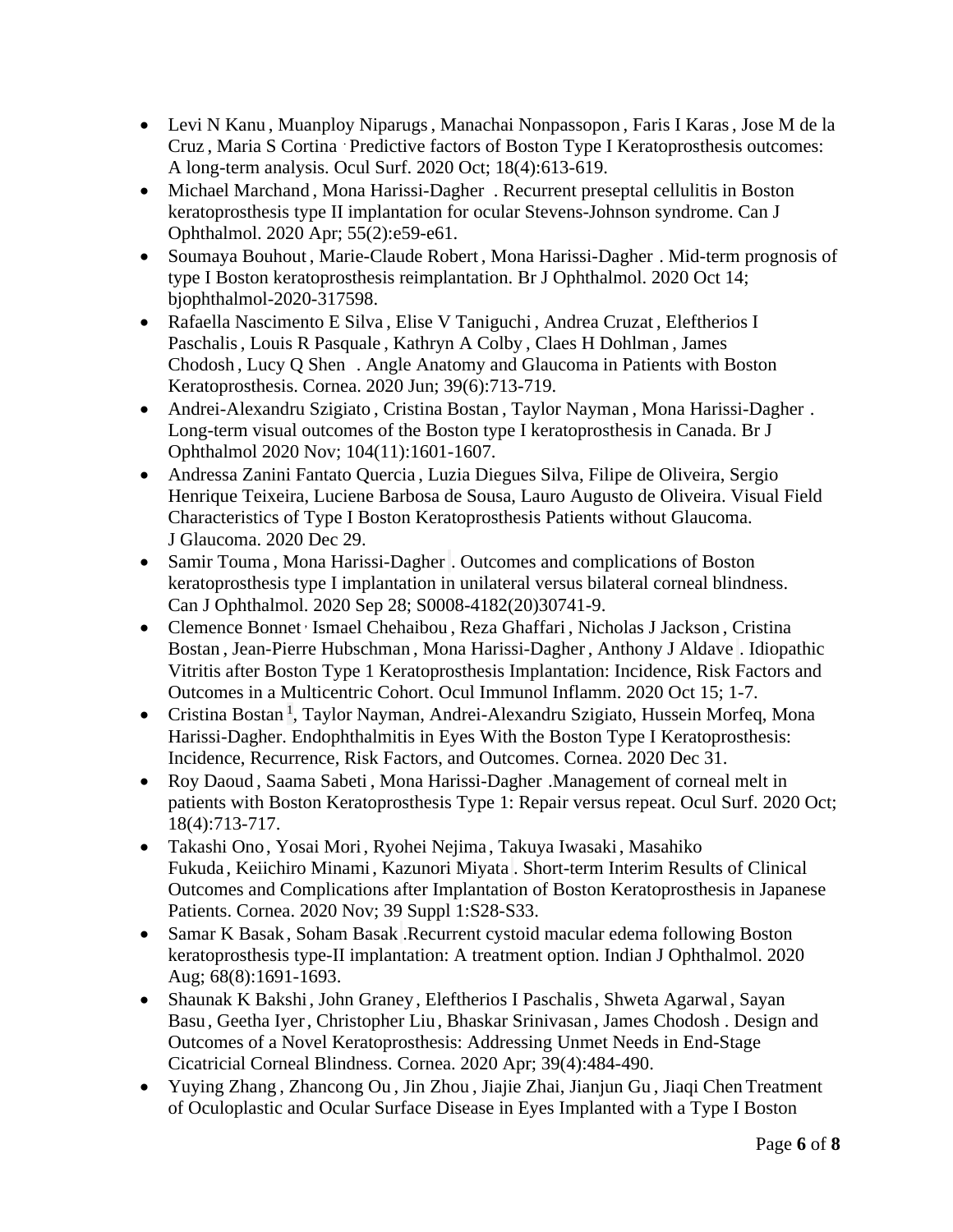- [Levi N Kanu](https://pubmed.ncbi.nlm.nih.gov/?term=Kanu+LN&cauthor_id=32702418), [Muanploy Niparugs,](https://pubmed.ncbi.nlm.nih.gov/?term=Niparugs+M&cauthor_id=32702418) [Manachai Nonpassopon](https://pubmed.ncbi.nlm.nih.gov/?term=Nonpassopon+M&cauthor_id=32702418), [Faris I Karas,](https://pubmed.ncbi.nlm.nih.gov/?term=Karas+FI&cauthor_id=32702418) Jose M de la [Cruz](https://pubmed.ncbi.nlm.nih.gov/?term=de+la+Cruz+JM&cauthor_id=32702418) , [Maria S Cortina](https://pubmed.ncbi.nlm.nih.gov/?term=Cortina+MS&cauthor_id=32702418) . Predictive factors of Boston Type I Keratoprosthesis outcomes: A long-term analysis. Ocul Surf. 2020 Oct; 18(4):613-619.
- [Michael Marchand](https://pubmed.ncbi.nlm.nih.gov/?term=Marchand+M&cauthor_id=31712017), [Mona Harissi-Dagher](https://pubmed.ncbi.nlm.nih.gov/?term=Harissi-Dagher+M&cauthor_id=31712017). Recurrent preseptal cellulitis in Boston keratoprosthesis type II implantation for ocular Stevens-Johnson syndrome. Can J Ophthalmol. 2020 Apr; 55(2):e59-e61.
- [Soumaya Bouhout](https://pubmed.ncbi.nlm.nih.gov/?term=Bouhout+S&cauthor_id=33055084) , [Marie-Claude Robert](https://pubmed.ncbi.nlm.nih.gov/?term=Robert+MC&cauthor_id=33055084) , [Mona Harissi-Dagher](https://pubmed.ncbi.nlm.nih.gov/?term=Harissi-Dagher+M&cauthor_id=33055084) . Mid-term prognosis of type I Boston keratoprosthesis reimplantation. Br J Ophthalmol. 2020 Oct 14; bjophthalmol-2020-317598.
- [Rafaella Nascimento E Silva](https://pubmed.ncbi.nlm.nih.gov/?term=Nascimento+E+Silva+R&cauthor_id=31764284) , [Elise V Taniguchi](https://pubmed.ncbi.nlm.nih.gov/?term=Taniguchi+EV&cauthor_id=31764284) , [Andrea Cruzat](https://pubmed.ncbi.nlm.nih.gov/?term=Cruzat+A&cauthor_id=31764284) , [Eleftherios I](https://pubmed.ncbi.nlm.nih.gov/?term=Paschalis+EI&cauthor_id=31764284)  [Paschalis,](https://pubmed.ncbi.nlm.nih.gov/?term=Paschalis+EI&cauthor_id=31764284) [Louis R Pasquale](https://pubmed.ncbi.nlm.nih.gov/?term=Pasquale+LR&cauthor_id=31764284) , Kathryn [A Colby](https://pubmed.ncbi.nlm.nih.gov/?term=Colby+KA&cauthor_id=31764284) , [Claes H Dohlman](https://pubmed.ncbi.nlm.nih.gov/?term=Dohlman+CH&cauthor_id=31764284) , [James](https://pubmed.ncbi.nlm.nih.gov/?term=Chodosh+J&cauthor_id=31764284)  [Chodosh](https://pubmed.ncbi.nlm.nih.gov/?term=Chodosh+J&cauthor_id=31764284) , [Lucy Q Shen](https://pubmed.ncbi.nlm.nih.gov/?term=Shen+LQ&cauthor_id=31764284) . Angle Anatomy and Glaucoma in Patients with Boston Keratoprosthesis. Cornea. 2020 Jun; 39(6):713-719.
- [Andrei-Alexandru Szigiato](https://pubmed.ncbi.nlm.nih.gov/?term=Szigiato+AA&cauthor_id=32066560), [Cristina Bostan](https://pubmed.ncbi.nlm.nih.gov/?term=Bostan+C&cauthor_id=32066560), [Taylor Nayman](https://pubmed.ncbi.nlm.nih.gov/?term=Nayman+T&cauthor_id=32066560), [Mona Harissi-Dagher](https://pubmed.ncbi.nlm.nih.gov/?term=Harissi-Dagher+M&cauthor_id=32066560). Long-term visual outcomes of the Boston type I keratoprosthesis in Canada. Br J Ophthalmol 2020 Nov; 104(11):1601-1607.
- [Andressa Zanini Fantato Quercia](https://pubmed.ncbi.nlm.nih.gov/?term=Quercia+AZF&cauthor_id=33394853) , [Luzia Diegues Silva,](https://pubmed.ncbi.nlm.nih.gov/?term=Silva+LD&cauthor_id=33394853) [Filipe de Oliveira,](https://pubmed.ncbi.nlm.nih.gov/?term=Oliveira+F&cauthor_id=33394853) [Sergio](https://pubmed.ncbi.nlm.nih.gov/?term=Teixeira+SH&cauthor_id=33394853)  [Henrique Teixeira,](https://pubmed.ncbi.nlm.nih.gov/?term=Teixeira+SH&cauthor_id=33394853) [Luciene Barbosa de Sousa,](https://pubmed.ncbi.nlm.nih.gov/?term=de+Sousa+LB&cauthor_id=33394853) [Lauro Augusto de Oliveira.](https://pubmed.ncbi.nlm.nih.gov/?term=de+Oliveira+LA&cauthor_id=33394853) Visual Field Characteristics of Type I Boston Keratoprosthesis Patients without Glaucoma. J Glaucoma. 2020 Dec 29.
- [Samir Touma](https://pubmed.ncbi.nlm.nih.gov/?term=Touma+S&cauthor_id=33002416), [Mona Harissi-Dagher](https://pubmed.ncbi.nlm.nih.gov/?term=Harissi-Dagher+M&cauthor_id=33002416) . Outcomes and complications of Boston keratoprosthesis type I implantation in unilateral versus bilateral corneal blindness. Can J Ophthalmol. 2020 Sep 28; S0008-4182(20)30741-9.
- [Clemence Bonnet](https://pubmed.ncbi.nlm.nih.gov/?term=Bonnet+C&cauthor_id=33054501)<sup>,</sup> [Ismael Chehaibou](https://pubmed.ncbi.nlm.nih.gov/?term=Chehaibou+I&cauthor_id=33054501), [Reza Ghaffari](https://pubmed.ncbi.nlm.nih.gov/?term=Ghaffari+R&cauthor_id=33054501), [Nicholas J Jackson](https://pubmed.ncbi.nlm.nih.gov/?term=Jackson+NJ&cauthor_id=33054501), Cristina [Bostan](https://pubmed.ncbi.nlm.nih.gov/?term=Bostan+C&cauthor_id=33054501) , [Jean-Pierre Hubschman](https://pubmed.ncbi.nlm.nih.gov/?term=Hubschman+JP&cauthor_id=33054501) , [Mona Harissi-Dagher](https://pubmed.ncbi.nlm.nih.gov/?term=Harissi-Dagher+M&cauthor_id=33054501) , [Anthony J Aldave](https://pubmed.ncbi.nlm.nih.gov/?term=Aldave+AJ&cauthor_id=33054501) . Idiopathic Vitritis after Boston Type 1 Keratoprosthesis Implantation: Incidence, Risk Factors and Outcomes in a Multicentric Cohort. Ocul Immunol Inflamm. 2020 Oct 15; 1-7.
- [Cristina Bostan](https://pubmed.ncbi.nlm.nih.gov/?term=Bostan+C&cauthor_id=33394754)<sup>[1](https://pubmed.ncbi.nlm.nih.gov/33394754/#affiliation-1)</sup>, [Taylor Nayman,](https://pubmed.ncbi.nlm.nih.gov/?term=Nayman+T&cauthor_id=33394754) [Andrei-Alexandru Szigiato,](https://pubmed.ncbi.nlm.nih.gov/?term=Szigiato+AA&cauthor_id=33394754) [Hussein Morfeq,](https://pubmed.ncbi.nlm.nih.gov/?term=Morfeq+H&cauthor_id=33394754) Mona [Harissi-Dagher.](https://pubmed.ncbi.nlm.nih.gov/?term=Harissi-Dagher+M&cauthor_id=33394754) Endophthalmitis in Eyes With the Boston Type I Keratoprosthesis: Incidence, Recurrence, Risk Factors, and Outcomes. Cornea. 2020 Dec 31.
- [Roy Daoud](https://pubmed.ncbi.nlm.nih.gov/?term=Daoud+R&cauthor_id=32777438) , [Saama Sabeti](https://pubmed.ncbi.nlm.nih.gov/?term=Sabeti+S&cauthor_id=32777438) , [Mona Harissi-Dagher](https://pubmed.ncbi.nlm.nih.gov/?term=Harissi-Dagher+M&cauthor_id=32777438) .Management of corneal melt in patients with Boston Keratoprosthesis Type 1: Repair versus repeat. Ocul Surf. 2020 Oct; 18(4):713-717.
- [Takashi Ono,](https://pubmed.ncbi.nlm.nih.gov/?term=Ono+T&cauthor_id=32925428) [Yosai Mori,](https://pubmed.ncbi.nlm.nih.gov/?term=Mori+Y&cauthor_id=32925428) [Ryohei Nejima](https://pubmed.ncbi.nlm.nih.gov/?term=Nejima+R&cauthor_id=32925428) , [Takuya Iwasaki,](https://pubmed.ncbi.nlm.nih.gov/?term=Iwasaki+T&cauthor_id=32925428) [Masahiko](https://pubmed.ncbi.nlm.nih.gov/?term=Fukuda+M&cauthor_id=32925428)  [Fukuda](https://pubmed.ncbi.nlm.nih.gov/?term=Fukuda+M&cauthor_id=32925428) , [Keiichiro Minami,](https://pubmed.ncbi.nlm.nih.gov/?term=Minami+K&cauthor_id=32925428) [Kazunori Miyata](https://pubmed.ncbi.nlm.nih.gov/?term=Miyata+K&cauthor_id=32925428) . Short-term Interim Results of Clinical Outcomes and Complications after Implantation of Boston Keratoprosthesis in Japanese Patients. Cornea. 2020 Nov; 39 Suppl 1:S28-S33.
- [Samar K Basak](https://pubmed.ncbi.nlm.nih.gov/?term=Basak+SK&cauthor_id=32709826), [Soham Basak](https://pubmed.ncbi.nlm.nih.gov/?term=Basak+S&cauthor_id=32709826) .Recurrent cystoid macular edema following Boston keratoprosthesis type-II implantation: A treatment option. Indian J Ophthalmol. 2020 Aug; 68(8):1691-1693.
- [Shaunak K Bakshi,](https://pubmed.ncbi.nlm.nih.gov/?term=Bakshi+SK&cauthor_id=31724985) [John Graney](https://pubmed.ncbi.nlm.nih.gov/?term=Graney+J&cauthor_id=31724985) , [Eleftherios I Paschalis,](https://pubmed.ncbi.nlm.nih.gov/?term=Paschalis+EI&cauthor_id=31724985) [Shweta Agarwal,](https://pubmed.ncbi.nlm.nih.gov/?term=Agarwal+S&cauthor_id=31724985) [Sayan](https://pubmed.ncbi.nlm.nih.gov/?term=Basu+S&cauthor_id=31724985)  [Basu](https://pubmed.ncbi.nlm.nih.gov/?term=Basu+S&cauthor_id=31724985) , [Geetha Iyer,](https://pubmed.ncbi.nlm.nih.gov/?term=Iyer+G&cauthor_id=31724985) [Christopher Liu](https://pubmed.ncbi.nlm.nih.gov/?term=Liu+C&cauthor_id=31724985) , [Bhaskar Srinivasan](https://pubmed.ncbi.nlm.nih.gov/?term=Srinivasan+B&cauthor_id=31724985) , [James Chodosh](https://pubmed.ncbi.nlm.nih.gov/?term=Chodosh+J&cauthor_id=31724985) . Design and Outcomes of a Novel Keratoprosthesis: Addressing Unmet Needs in End-Stage Cicatricial Corneal Blindness. Cornea. 2020 Apr; 39(4):484-490.
- [Yuying Zhang](https://pubmed.ncbi.nlm.nih.gov/?term=Zhang+Y&cauthor_id=32436025), [Zhancong Ou](https://pubmed.ncbi.nlm.nih.gov/?term=Ou+Z&cauthor_id=32436025), [Jin Zhou](https://pubmed.ncbi.nlm.nih.gov/?term=Zhou+J&cauthor_id=32436025), [Jiajie Zhai,](https://pubmed.ncbi.nlm.nih.gov/?term=Zhai+J&cauthor_id=32436025) [Jianjun Gu](https://pubmed.ncbi.nlm.nih.gov/?term=Gu+J&cauthor_id=32436025), [Jiaqi Chen](https://pubmed.ncbi.nlm.nih.gov/?term=Chen+J&cauthor_id=32436025) Treatment of Oculoplastic and Ocular Surface Disease in Eyes Implanted with a Type I Boston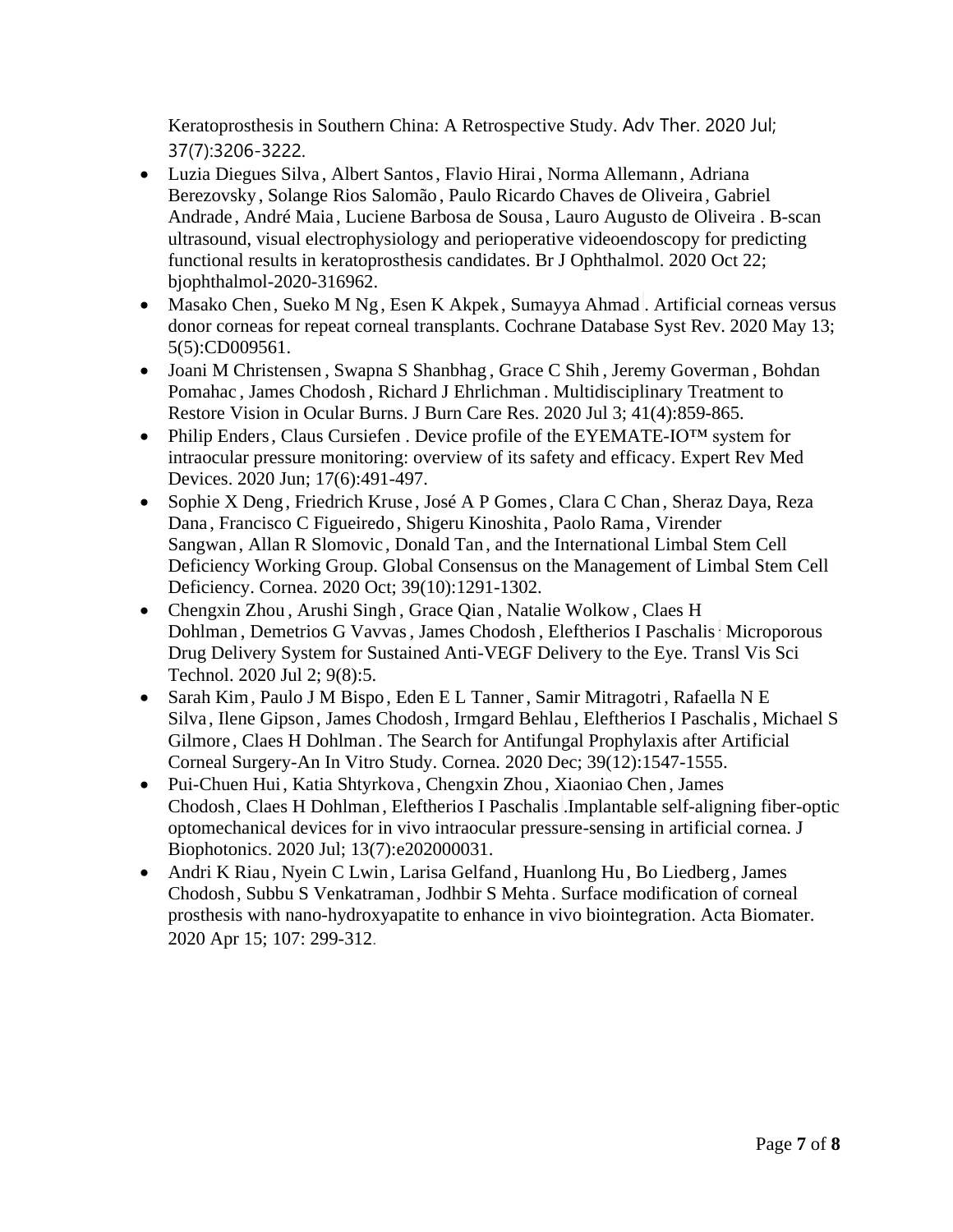Keratoprosthesis in Southern China: A Retrospective Study. Adv Ther. 2020 Jul; 37(7):3206-3222.

- [Luzia Diegues Silva](https://pubmed.ncbi.nlm.nih.gov/?term=Silva+LD&cauthor_id=33093153) , [Albert Santos,](https://pubmed.ncbi.nlm.nih.gov/?term=Santos+A&cauthor_id=33093153) [Flavio Hirai,](https://pubmed.ncbi.nlm.nih.gov/?term=Hirai+F&cauthor_id=33093153) [Norma Allemann](https://pubmed.ncbi.nlm.nih.gov/?term=Allemann+N&cauthor_id=33093153) , [Adriana](https://pubmed.ncbi.nlm.nih.gov/?term=Berezovsky+A&cauthor_id=33093153)  [Berezovsky](https://pubmed.ncbi.nlm.nih.gov/?term=Berezovsky+A&cauthor_id=33093153) , [Solange Rios Salomão](https://pubmed.ncbi.nlm.nih.gov/?term=Salom%C3%A3o+SR&cauthor_id=33093153) , [Paulo Ricardo Chaves de Oliveira](https://pubmed.ncbi.nlm.nih.gov/?term=Oliveira+PRC&cauthor_id=33093153) , [Gabriel](https://pubmed.ncbi.nlm.nih.gov/?term=Andrade+G&cauthor_id=33093153)  [Andrade](https://pubmed.ncbi.nlm.nih.gov/?term=Andrade+G&cauthor_id=33093153) , [André Maia](https://pubmed.ncbi.nlm.nih.gov/?term=Maia+A&cauthor_id=33093153) , [Luciene Barbosa de Sousa](https://pubmed.ncbi.nlm.nih.gov/?term=Sousa+LB&cauthor_id=33093153) , [Lauro Augusto de Oliveira](https://pubmed.ncbi.nlm.nih.gov/?term=Oliveira+LA&cauthor_id=33093153) . B-scan ultrasound, visual electrophysiology and perioperative videoendoscopy for predicting functional results in keratoprosthesis candidates. Br J Ophthalmol. 2020 Oct 22; bjophthalmol-2020-316962.
- [Masako Chen](https://pubmed.ncbi.nlm.nih.gov/?term=Chen+M&cauthor_id=32408386), [Sueko M Ng,](https://pubmed.ncbi.nlm.nih.gov/?term=Ng+SM&cauthor_id=32408386) [Esen K Akpek](https://pubmed.ncbi.nlm.nih.gov/?term=Akpek+EK&cauthor_id=32408386), [Sumayya Ahmad](https://pubmed.ncbi.nlm.nih.gov/?term=Ahmad+S&cauthor_id=32408386) . Artificial corneas versus donor corneas for repeat corneal transplants. Cochrane Database Syst Rev. 2020 May 13; 5(5):CD009561.
- [Joani M Christensen](https://pubmed.ncbi.nlm.nih.gov/?term=Christensen+JM&cauthor_id=31808803) , [Swapna S Shanbhag](https://pubmed.ncbi.nlm.nih.gov/?term=Shanbhag+SS&cauthor_id=31808803) , [Grace C Shih](https://pubmed.ncbi.nlm.nih.gov/?term=Shih+GC&cauthor_id=31808803) , [Jeremy Goverman](https://pubmed.ncbi.nlm.nih.gov/?term=Goverman+J&cauthor_id=31808803) , [Bohdan](https://pubmed.ncbi.nlm.nih.gov/?term=Pomahac+B&cauthor_id=31808803)  [Pomahac](https://pubmed.ncbi.nlm.nih.gov/?term=Pomahac+B&cauthor_id=31808803) , [James Chodosh](https://pubmed.ncbi.nlm.nih.gov/?term=Chodosh+J&cauthor_id=31808803) , [Richard J Ehrlichman](https://pubmed.ncbi.nlm.nih.gov/?term=Ehrlichman+RJ&cauthor_id=31808803) . Multidisciplinary Treatment to Restore Vision in Ocular Burns. J Burn Care Res. 2020 Jul 3; 41(4):859-865.
- [Philip Enders,](https://pubmed.ncbi.nlm.nih.gov/?term=Enders+P&cauthor_id=32339024) [Claus Cursiefen](https://pubmed.ncbi.nlm.nih.gov/?term=Cursiefen+C&cauthor_id=32339024). Device profile of the EYEMATE-IO<sup>TM</sup> system for intraocular pressure monitoring: overview of its safety and efficacy. Expert Rev Med Devices. 2020 Jun; 17(6):491-497.
- [Sophie X Deng,](https://pubmed.ncbi.nlm.nih.gov/?term=Deng+SX&cauthor_id=32639314) [Friedrich Kruse](https://pubmed.ncbi.nlm.nih.gov/?term=Kruse+F&cauthor_id=32639314) , [José A P Gomes,](https://pubmed.ncbi.nlm.nih.gov/?term=Gomes+JAP&cauthor_id=32639314) [Clara C Chan,](https://pubmed.ncbi.nlm.nih.gov/?term=Chan+CC&cauthor_id=32639314) Sheraz Daya, [Reza](https://pubmed.ncbi.nlm.nih.gov/?term=Dana+R&cauthor_id=32639314)  [Dana](https://pubmed.ncbi.nlm.nih.gov/?term=Dana+R&cauthor_id=32639314) , [Francisco C Figueiredo](https://pubmed.ncbi.nlm.nih.gov/?term=Figueiredo+FC&cauthor_id=32639314) , [Shigeru Kinoshita](https://pubmed.ncbi.nlm.nih.gov/?term=Kinoshita+S&cauthor_id=32639314) , [Paolo Rama](https://pubmed.ncbi.nlm.nih.gov/?term=Rama+P&cauthor_id=32639314) , [Virender](https://pubmed.ncbi.nlm.nih.gov/?term=Sangwan+V&cauthor_id=32639314)  [Sangwan,](https://pubmed.ncbi.nlm.nih.gov/?term=Sangwan+V&cauthor_id=32639314) [Allan R Slomovic](https://pubmed.ncbi.nlm.nih.gov/?term=Slomovic+AR&cauthor_id=32639314) , [Donald Tan](https://pubmed.ncbi.nlm.nih.gov/?term=Tan+D&cauthor_id=32639314) , [and the International Limbal Stem Cell](https://pubmed.ncbi.nlm.nih.gov/?term=and+the+International+Limbal+Stem+Cell+Deficiency+Working+Group%5BCorporate+Author%5D)  [Deficiency Working Group.](https://pubmed.ncbi.nlm.nih.gov/?term=and+the+International+Limbal+Stem+Cell+Deficiency+Working+Group%5BCorporate+Author%5D) Global Consensus on the Management of Limbal Stem Cell Deficiency. Cornea. 2020 Oct; 39(10):1291-1302.
- [Chengxin Zhou](https://pubmed.ncbi.nlm.nih.gov/?term=Zhou+C&cauthor_id=32855852), [Arushi Singh](https://pubmed.ncbi.nlm.nih.gov/?term=Singh+A&cauthor_id=32855852), Grace Oian, [Natalie Wolkow](https://pubmed.ncbi.nlm.nih.gov/?term=Wolkow+N&cauthor_id=32855852), Claes H [Dohlman](https://pubmed.ncbi.nlm.nih.gov/?term=Dohlman+CH&cauthor_id=32855852) , [Demetrios G Vavvas,](https://pubmed.ncbi.nlm.nih.gov/?term=Vavvas+DG&cauthor_id=32855852) [James Chodosh](https://pubmed.ncbi.nlm.nih.gov/?term=Chodosh+J&cauthor_id=32855852) , [Eleftherios I Paschalis](https://pubmed.ncbi.nlm.nih.gov/?term=Paschalis+EI&cauthor_id=32855852). Microporous Drug Delivery System for Sustained Anti-VEGF Delivery to the Eye. Transl Vis Sci Technol. 2020 Jul 2; 9(8):5.
- [Sarah Kim,](https://pubmed.ncbi.nlm.nih.gov/?term=Kim+S&cauthor_id=32769678) [Paulo J M Bispo](https://pubmed.ncbi.nlm.nih.gov/?term=Bispo+PJM&cauthor_id=32769678) , [Eden E L Tanner,](https://pubmed.ncbi.nlm.nih.gov/?term=Tanner+EEL&cauthor_id=32769678) [Samir Mitragotri,](https://pubmed.ncbi.nlm.nih.gov/?term=Mitragotri+S&cauthor_id=32769678) [Rafaella N E](https://pubmed.ncbi.nlm.nih.gov/?term=E+Silva+RN&cauthor_id=32769678)  [Silva](https://pubmed.ncbi.nlm.nih.gov/?term=E+Silva+RN&cauthor_id=32769678) , [Ilene Gipson](https://pubmed.ncbi.nlm.nih.gov/?term=Gipson+I&cauthor_id=32769678) , [James Chodosh](https://pubmed.ncbi.nlm.nih.gov/?term=Chodosh+J&cauthor_id=32769678) , [Irmgard Behlau](https://pubmed.ncbi.nlm.nih.gov/?term=Behlau+I&cauthor_id=32769678) , [Eleftherios I Paschalis,](https://pubmed.ncbi.nlm.nih.gov/?term=Paschalis+EI&cauthor_id=32769678) [Michael S](https://pubmed.ncbi.nlm.nih.gov/?term=Gilmore+MS&cauthor_id=32769678)  [Gilmore](https://pubmed.ncbi.nlm.nih.gov/?term=Gilmore+MS&cauthor_id=32769678) , [Claes H Dohlman](https://pubmed.ncbi.nlm.nih.gov/?term=Dohlman+CH&cauthor_id=32769678) . The Search for Antifungal Prophylaxis after Artificial Corneal Surgery-An In Vitro Study. Cornea. 2020 Dec; 39(12):1547-1555.
- [Pui-Chuen Hui,](https://pubmed.ncbi.nlm.nih.gov/?term=Hui+PC&cauthor_id=32246524) [Katia Shtyrkova](https://pubmed.ncbi.nlm.nih.gov/?term=Shtyrkova+K&cauthor_id=32246524) , [Chengxin Zhou](https://pubmed.ncbi.nlm.nih.gov/?term=Zhou+C&cauthor_id=32246524) , [Xiaoniao Chen,](https://pubmed.ncbi.nlm.nih.gov/?term=Chen+X&cauthor_id=32246524) [James](https://pubmed.ncbi.nlm.nih.gov/?term=Chodosh+J&cauthor_id=32246524)  [Chodosh,](https://pubmed.ncbi.nlm.nih.gov/?term=Chodosh+J&cauthor_id=32246524) [Claes H Dohlman](https://pubmed.ncbi.nlm.nih.gov/?term=Dohlman+CH&cauthor_id=32246524) , [Eleftherios I Paschalis](https://pubmed.ncbi.nlm.nih.gov/?term=Paschalis+EI&cauthor_id=32246524) .Implantable self-aligning fiber-optic optomechanical devices for in vivo intraocular pressure-sensing in artificial cornea. J Biophotonics. 2020 Jul; 13(7):e202000031.
- [Andri K Riau](https://pubmed.ncbi.nlm.nih.gov/?term=Riau+AK&cauthor_id=31978623), [Nyein C Lwin](https://pubmed.ncbi.nlm.nih.gov/?term=Lwin+NC&cauthor_id=31978623), [Larisa Gelfand](https://pubmed.ncbi.nlm.nih.gov/?term=Gelfand+L&cauthor_id=31978623), [Huanlong Hu,](https://pubmed.ncbi.nlm.nih.gov/?term=Hu+H&cauthor_id=31978623) [Bo Liedberg](https://pubmed.ncbi.nlm.nih.gov/?term=Liedberg+B&cauthor_id=31978623), James [Chodosh,](https://pubmed.ncbi.nlm.nih.gov/?term=Chodosh+J&cauthor_id=31978623) [Subbu S Venkatraman](https://pubmed.ncbi.nlm.nih.gov/?term=Venkatraman+SS&cauthor_id=31978623) , [Jodhbir S Mehta](https://pubmed.ncbi.nlm.nih.gov/?term=Mehta+JS&cauthor_id=31978623) . Surface modification of corneal prosthesis with nano-hydroxyapatite to enhance in vivo biointegration. Acta Biomater. 2020 Apr 15; 107: 299-312.